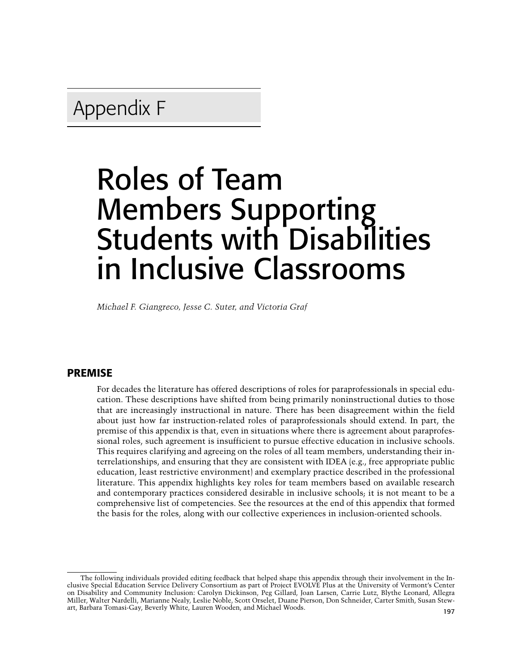# Appendix F

# Roles of Team Members Supporting Students with Disabilities in Inclusive Classrooms

*Michael F. Giangreco, Jesse C. Suter, and Victoria Graf*

#### **PREMISE**

For decades the literature has offered descriptions of roles for paraprofessionals in special education. These descriptions have shifted from being primarily noninstructional duties to those that are increasingly instructional in nature. There has been disagreement within the field about just how far instruction-related roles of paraprofessionals should extend. In part, the premise of this appendix is that, even in situations where there is agreement about paraprofessional roles, such agreement is insufficient to pursue effective education in inclusive schools. This requires clarifying and agreeing on the roles of all team members, understanding their interrelationships, and ensuring that they are consistent with IDEA (e.g., free appropriate public education, least restrictive environment) and exemplary practice described in the professional literature. This appendix highlights key roles for team members based on available research and contemporary practices considered desirable in inclusive schools; it is not meant to be a comprehensive list of competencies. See the resources at the end of this appendix that formed the basis for the roles, along with our collective experiences in inclusion-oriented schools.

The following individuals provided editing feedback that helped shape this appendix through their involvement in the Inclusive Special Education Service Delivery Consortium as part of Project EVOLVE Plus at the University of Vermont's Center on Disability and Community Inclusion: Carolyn Dickinson, Peg Gillard, Joan Larsen, Carrie Lutz, Blythe Leonard, Allegra Miller, Walter Nardelli, Marianne Nealy, Leslie Noble, Scott Orselet, Duane Pierson, Don Schneider, Carter Smith, Susan Stewart, Barbara Tomasi-Gay, Beverly White, Lauren Wooden, and Michael Woods.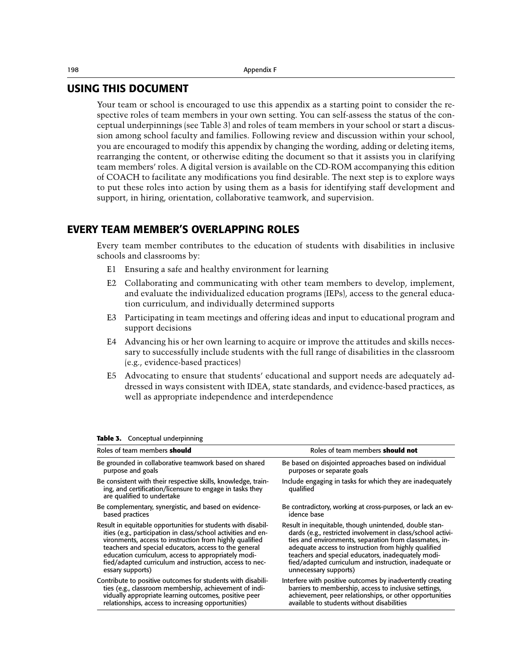#### **USING THIS DOCUMENT**

Your team or school is encouraged to use this appendix as a starting point to consider the respective roles of team members in your own setting. You can self-assess the status of the conceptual underpinnings (see Table 3) and roles of team members in your school or start a discussion among school faculty and families. Following review and discussion within your school, you are encouraged to modify this appendix by changing the wording, adding or deleting items, rearranging the content, or otherwise editing the document so that it assists you in clarifying team members' roles. A digital version is available on the CD-ROM accompanying this edition of COACH to facilitate any modifications you find desirable. The next step is to explore ways to put these roles into action by using them as a basis for identifying staff development and support, in hiring, orientation, collaborative teamwork, and supervision.

# **EVERY TEAM MEMBER'S OVERLAPPING ROLES**

Every team member contributes to the education of students with disabilities in inclusive schools and classrooms by:

- E1 Ensuring a safe and healthy environment for learning
- E2 Collaborating and communicating with other team members to develop, implement, and evaluate the individualized education programs (IEPs), access to the general education curriculum, and individually determined supports
- E3 Participating in team meetings and offering ideas and input to educational program and support decisions
- E4 Advancing his or her own learning to acquire or improve the attitudes and skills necessary to successfully include students with the full range of disabilities in the classroom (e.g., evidence-based practices)
- E5 Advocating to ensure that students' educational and support needs are adequately addressed in ways consistent with IDEA, state standards, and evidence-based practices, as well as appropriate independence and interdependence

| Roles of team members should                                                                                                                            | Roles of team members <b>should not</b>                                |
|---------------------------------------------------------------------------------------------------------------------------------------------------------|------------------------------------------------------------------------|
| Be grounded in collaborative teamwork based on shared                                                                                                   | Be based on disjointed approaches based on individual                  |
| purpose and goals                                                                                                                                       | purposes or separate goals                                             |
| Be consistent with their respective skills, knowledge, train-<br>ing, and certification/licensure to engage in tasks they<br>are qualified to undertake | Include engaging in tasks for which they are inadequately<br>qualified |
| Be complementary, synergistic, and based on evidence-                                                                                                   | Be contradictory, working at cross-purposes, or lack an ev-            |
| based practices                                                                                                                                         | idence base                                                            |
| Result in equitable opportunities for students with disabil-                                                                                            | Result in inequitable, though unintended, double stan-                 |
| ities (e.g., participation in class/school activities and en-                                                                                           | dards (e.g., restricted involvement in class/school activi-            |
| vironments, access to instruction from highly qualified                                                                                                 | ties and environments, separation from classmates, in-                 |
| teachers and special educators, access to the general                                                                                                   | adequate access to instruction from highly qualified                   |
| education curriculum, access to appropriately modi-                                                                                                     | teachers and special educators, inadequately modi-                     |
| fied/adapted curriculum and instruction, access to nec-                                                                                                 | fied/adapted curriculum and instruction, inadequate or                 |
| essary supports)                                                                                                                                        | unnecessary supports)                                                  |
| Contribute to positive outcomes for students with disabili-                                                                                             | Interfere with positive outcomes by inadvertently creating             |
| ties (e.g., classroom membership, achievement of indi-                                                                                                  | barriers to membership, access to inclusive settings,                  |
| vidually appropriate learning outcomes, positive peer                                                                                                   | achievement, peer relationships, or other opportunities                |
| relationships, access to increasing opportunities)                                                                                                      | available to students without disabilities                             |

**Table 3.** Conceptual underpinning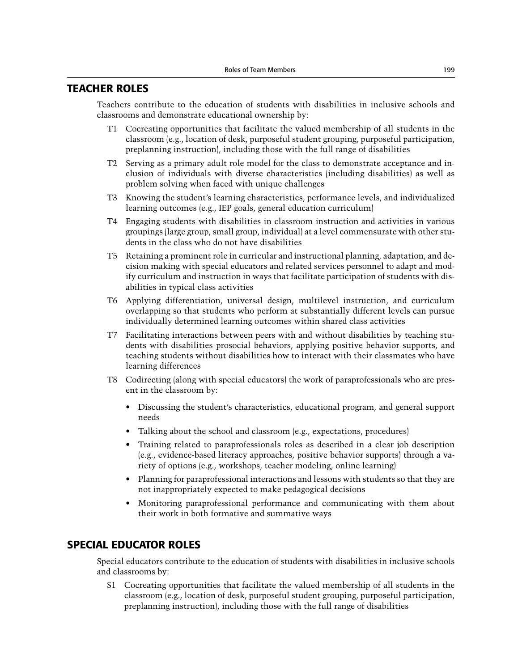# **TEACHER ROLES**

Teachers contribute to the education of students with disabilities in inclusive schools and classrooms and demonstrate educational ownership by:

- T1 Cocreating opportunities that facilitate the valued membership of all students in the classroom (e.g., location of desk, purposeful student grouping, purposeful participation, preplanning instruction), including those with the full range of disabilities
- T2 Serving as a primary adult role model for the class to demonstrate acceptance and inclusion of individuals with diverse characteristics (including disabilities) as well as problem solving when faced with unique challenges
- T3 Knowing the student's learning characteristics, performance levels, and individualized learning outcomes (e.g., IEP goals, general education curriculum)
- T4 Engaging students with disabilities in classroom instruction and activities in various groupings (large group, small group, individual) at a level commensurate with other students in the class who do not have disabilities
- T5 Retaining a prominent role in curricular and instructional planning, adaptation, and decision making with special educators and related services personnel to adapt and modify curriculum and instruction in ways that facilitate participation of students with disabilities in typical class activities
- T6 Applying differentiation, universal design, multilevel instruction, and curriculum overlapping so that students who perform at substantially different levels can pursue individually determined learning outcomes within shared class activities
- T7 Facilitating interactions between peers with and without disabilities by teaching students with disabilities prosocial behaviors, applying positive behavior supports, and teaching students without disabilities how to interact with their classmates who have learning differences
- T8 Codirecting (along with special educators) the work of paraprofessionals who are present in the classroom by:
	- Discussing the student's characteristics, educational program, and general support needs
	- Talking about the school and classroom (e.g., expectations, procedures)
	- Training related to paraprofessionals roles as described in a clear job description (e.g., evidence-based literacy approaches, positive behavior supports) through a variety of options (e.g., workshops, teacher modeling, online learning)
	- Planning for paraprofessional interactions and lessons with students so that they are not inappropriately expected to make pedagogical decisions
	- Monitoring paraprofessional performance and communicating with them about their work in both formative and summative ways

# **SPECIAL EDUCATOR ROLES**

Special educators contribute to the education of students with disabilities in inclusive schools and classrooms by:

S1 Cocreating opportunities that facilitate the valued membership of all students in the classroom (e.g., location of desk, purposeful student grouping, purposeful participation, preplanning instruction), including those with the full range of disabilities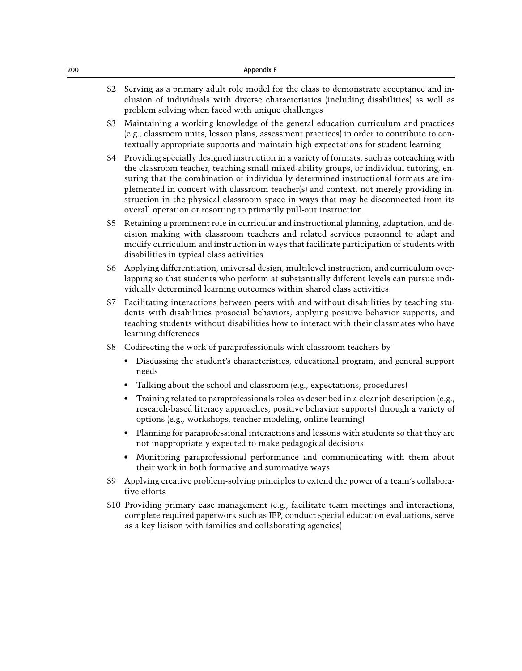|                | Appendix F                                                                                                                                                                                                                                                                                                                                                                                                                                                                                                                         |
|----------------|------------------------------------------------------------------------------------------------------------------------------------------------------------------------------------------------------------------------------------------------------------------------------------------------------------------------------------------------------------------------------------------------------------------------------------------------------------------------------------------------------------------------------------|
| S <sub>2</sub> | Serving as a primary adult role model for the class to demonstrate acceptance and in-<br>clusion of individuals with diverse characteristics (including disabilities) as well as<br>problem solving when faced with unique challenges                                                                                                                                                                                                                                                                                              |
| S3             | Maintaining a working knowledge of the general education curriculum and practices<br>(e.g., classroom units, lesson plans, assessment practices) in order to contribute to con-<br>textually appropriate supports and maintain high expectations for student learning                                                                                                                                                                                                                                                              |
|                | S4 Providing specially designed instruction in a variety of formats, such as coteaching with<br>the classroom teacher, teaching small mixed-ability groups, or individual tutoring, en-<br>suring that the combination of individually determined instructional formats are im-<br>plemented in concert with classroom teacher(s) and context, not merely providing in-<br>struction in the physical classroom space in ways that may be disconnected from its<br>overall operation or resorting to primarily pull-out instruction |
| S5             | Retaining a prominent role in curricular and instructional planning, adaptation, and de-<br>cision making with classroom teachers and related services personnel to adapt and<br>modify curriculum and instruction in ways that facilitate participation of students with<br>disabilities in typical class activities                                                                                                                                                                                                              |
| S6             | Applying differentiation, universal design, multilevel instruction, and curriculum over-<br>lapping so that students who perform at substantially different levels can pursue indi-<br>vidually determined learning outcomes within shared class activities                                                                                                                                                                                                                                                                        |
| S7             | Facilitating interactions between peers with and without disabilities by teaching stu-<br>dents with disabilities prosocial behaviors, applying positive behavior supports, and<br>teaching students without disabilities how to interact with their classmates who have<br>learning differences                                                                                                                                                                                                                                   |
| S8             | Codirecting the work of paraprofessionals with classroom teachers by                                                                                                                                                                                                                                                                                                                                                                                                                                                               |
|                | Discussing the student's characteristics, educational program, and general support<br>needs                                                                                                                                                                                                                                                                                                                                                                                                                                        |
|                | Talking about the school and classroom (e.g., expectations, procedures)                                                                                                                                                                                                                                                                                                                                                                                                                                                            |
|                | Training related to paraprofessionals roles as described in a clear job description (e.g.,<br>research-based literacy approaches, positive behavior supports) through a variety of<br>options (e.g., workshops, teacher modeling, online learning)                                                                                                                                                                                                                                                                                 |
|                | Planning for paraprofessional interactions and lessons with students so that they are<br>not inappropriately expected to make pedagogical decisions                                                                                                                                                                                                                                                                                                                                                                                |
|                | • Monitoring paraprofessional performance and communicating with them about<br>their work in both formative and summative ways                                                                                                                                                                                                                                                                                                                                                                                                     |
| S9             | Applying creative problem-solving principles to extend the power of a team's collabora-<br>tive efforts                                                                                                                                                                                                                                                                                                                                                                                                                            |
|                | S10 Providing primary case management (e.g., facilitate team meetings and interactions,<br>complete required paperwork such as IEP, conduct special education evaluations, serve                                                                                                                                                                                                                                                                                                                                                   |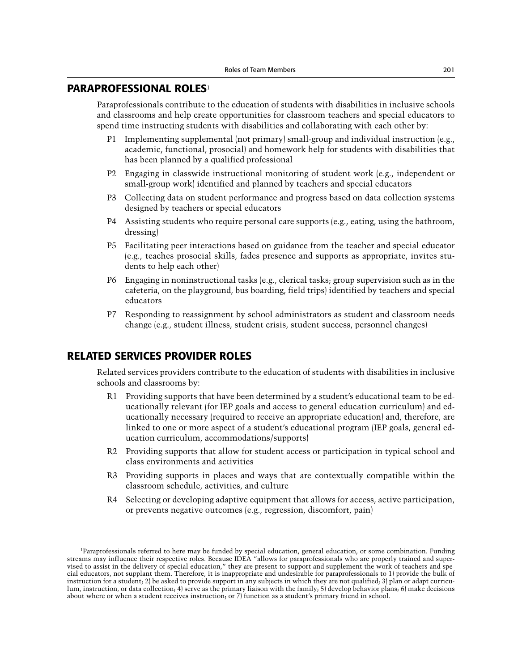#### **PARAPROFESSIONAL ROLES**<sup>1</sup>

Paraprofessionals contribute to the education of students with disabilities in inclusive schools and classrooms and help create opportunities for classroom teachers and special educators to spend time instructing students with disabilities and collaborating with each other by:

- P1 Implementing supplemental (not primary) small-group and individual instruction (e.g., academic, functional, prosocial) and homework help for students with disabilities that has been planned by a qualified professional
- P2 Engaging in classwide instructional monitoring of student work (e.g., independent or small-group work) identified and planned by teachers and special educators
- P3 Collecting data on student performance and progress based on data collection systems designed by teachers or special educators
- P4 Assisting students who require personal care supports  $(e.g.,$  eating, using the bathroom, dressing)
- P5 Facilitating peer interactions based on guidance from the teacher and special educator (e.g., teaches prosocial skills, fades presence and supports as appropriate, invites students to help each other)
- P6 Engaging in noninstructional tasks (e.g., clerical tasks; group supervision such as in the cafeteria, on the playground, bus boarding, field trips) identified by teachers and special educators
- P7 Responding to reassignment by school administrators as student and classroom needs change (e.g., student illness, student crisis, student success, personnel changes)

## **RELATED SERVICES PROVIDER ROLES**

Related services providers contribute to the education of students with disabilities in inclusive schools and classrooms by:

- R1 Providing supports that have been determined by a student's educational team to be educationally relevant (for IEP goals and access to general education curriculum) and educationally necessary (required to receive an appropriate education) and, therefore, are linked to one or more aspect of a student's educational program (IEP goals, general education curriculum, accommodations/supports)
- R2 Providing supports that allow for student access or participation in typical school and class environments and activities
- R3 Providing supports in places and ways that are contextually compatible within the classroom schedule, activities, and culture
- R4 Selecting or developing adaptive equipment that allows for access, active participation, or prevents negative outcomes (e.g., regression, discomfort, pain)

<sup>1</sup>Paraprofessionals referred to here may be funded by special education, general education, or some combination. Funding streams may influence their respective roles. Because IDEA "allows for paraprofessionals who are properly trained and supervised to assist in the delivery of special education," they are present to support and supplement the work of teachers and special educators, not supplant them. Therefore, it is inappropriate and undesirable for paraprofessionals to 1) provide the bulk of instruction for a student; 2) be asked to provide support in any subjects in which they are not qualified; 3) plan or adapt curriculum, instruction, or data collection; 4) serve as the primary liaison with the family; 5) develop behavior plans; 6) make decisions about where or when a student receives instruction; or 7) function as a student's primary friend in school.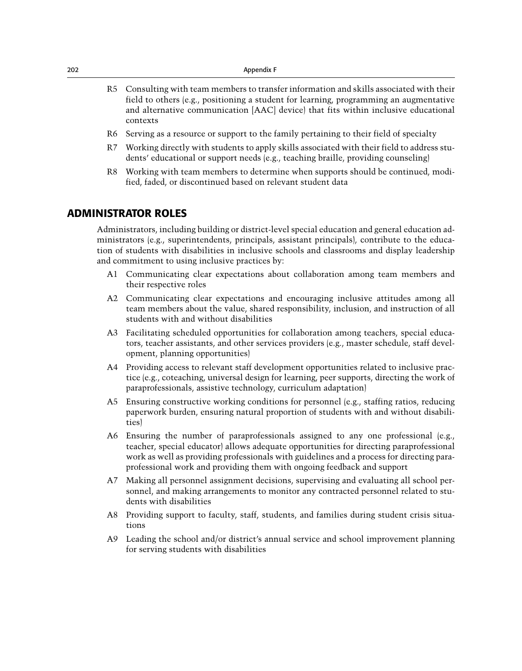| 202 | Appendix F                                                                                                                                                                                                                                                                           |
|-----|--------------------------------------------------------------------------------------------------------------------------------------------------------------------------------------------------------------------------------------------------------------------------------------|
|     | R5 Consulting with team members to transfer information and skills associated with their<br>field to others (e.g., positioning a student for learning, programming an augmentative<br>and alternative communication [AAC] device] that fits within inclusive educational<br>contexts |
| R6  | Serving as a resource or support to the family pertaining to their field of specialty                                                                                                                                                                                                |
| R7  | Working directly with students to apply skills associated with their field to address stu-<br>dents' educational or support needs (e.g., teaching braille, providing counseling)                                                                                                     |
| R8  | Working with team members to determine when supports should be continued, modi-<br>fied, faded, or discontinued based on relevant student data                                                                                                                                       |

# **ADMINISTRATOR ROLES**

Administrators, including building or district-level special education and general education administrators (e.g., superintendents, principals, assistant principals), contribute to the education of students with disabilities in inclusive schools and classrooms and display leadership and commitment to using inclusive practices by:

- A1 Communicating clear expectations about collaboration among team members and their respective roles
- A2 Communicating clear expectations and encouraging inclusive attitudes among all team members about the value, shared responsibility, inclusion, and instruction of all students with and without disabilities
- A3 Facilitating scheduled opportunities for collaboration among teachers, special educators, teacher assistants, and other services providers (e.g., master schedule, staff development, planning opportunities)
- A4 Providing access to relevant staff development opportunities related to inclusive practice (e.g., coteaching, universal design for learning, peer supports, directing the work of paraprofessionals, assistive technology, curriculum adaptation)
- A5 Ensuring constructive working conditions for personnel (e.g., staffing ratios, reducing paperwork burden, ensuring natural proportion of students with and without disabilities)
- A6 Ensuring the number of paraprofessionals assigned to any one professional (e.g., teacher, special educator) allows adequate opportunities for directing paraprofessional work as well as providing professionals with guidelines and a process for directing paraprofessional work and providing them with ongoing feedback and support
- A7 Making all personnel assignment decisions, supervising and evaluating all school personnel, and making arrangements to monitor any contracted personnel related to students with disabilities
- A8 Providing support to faculty, staff, students, and families during student crisis situations
- A9 Leading the school and/or district's annual service and school improvement planning for serving students with disabilities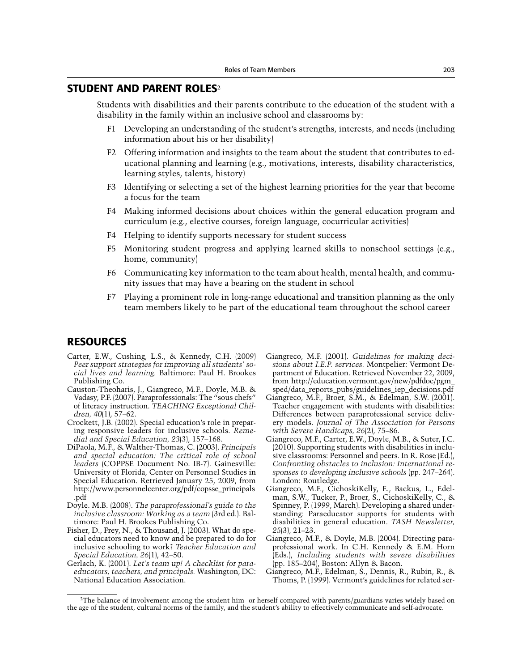#### **STUDENT AND PARENT ROLES**<sup>2</sup>

Students with disabilities and their parents contribute to the education of the student with a disability in the family within an inclusive school and classrooms by:

- F1 Developing an understanding of the student's strengths, interests, and needs (including information about his or her disability)
- F2 Offering information and insights to the team about the student that contributes to educational planning and learning (e.g., motivations, interests, disability characteristics, learning styles, talents, history)
- F3 Identifying or selecting a set of the highest learning priorities for the year that become a focus for the team
- F4 Making informed decisions about choices within the general education program and curriculum (e.g., elective courses, foreign language, cocurricular activities)
- F4 Helping to identify supports necessary for student success
- F5 Monitoring student progress and applying learned skills to nonschool settings (e.g., home, community)
- F6 Communicating key information to the team about health, mental health, and community issues that may have a bearing on the student in school
- F7 Playing a prominent role in long-range educational and transition planning as the only team members likely to be part of the educational team throughout the school career

#### **RESOURCES**

- Carter, E.W., Cushing, L.S., & Kennedy, C.H. (2009) *Peer support strategies for improving all students' social lives and learning.* Baltimore: Paul H. Brookes Publishing Co.
- Causton-Theoharis, J., Giangreco, M.F., Doyle, M.B. & Vadasy, P.F. (2007). Paraprofessionals: The "sous chefs" of literacy instruction. *TEACHING Exceptional Children, 40*(1), 57–62.
- Crockett, J.B. (2002). Special education's role in preparing responsive leaders for inclusive schools. *Remedial and Special Education, 23*(3), 157–168.
- DiPaola, M.F., & Walther-Thomas, C. (2003). *Principals and special education: The critical role of school leaders* (COPPSE Document No. IB-7). Gainesville: University of Florida, Center on Personnel Studies in Special Education. Retrieved January 25, 2009, from http://www.personnelcenter.org/pdf/copsse\_principals .pdf
- Doyle. M.B. (2008). *The paraprofessional's guide to the inclusive classroom: Working as a team* (3rd ed.). Baltimore: Paul H. Brookes Publishing Co.
- Fisher, D., Frey, N., & Thousand, J. (2003). What do special educators need to know and be prepared to do for inclusive schooling to work? *Teacher Education and Special Education, 26*(1), 42–50.
- Gerlach, K. (2001). *Let's team up! A checklist for paraeducators, teachers, and principals.* Washington, DC: National Education Association.
- Giangreco, M.F. (2001). *Guidelines for making decisions about I.E.P. services.* Montpelier: Vermont Department of Education. Retrieved November 22, 2009, from http://education.vermont.gov/new/pdfdoc/pgm\_ sped/data\_reports\_pubs/guidelines\_iep\_decisions.pdf
- Giangreco, M.F., Broer, S.M., & Edelman, S.W. (2001). Teacher engagement with students with disabilities: Differences between paraprofessional service delivery models. *Journal of The Association for Persons with Severe Handicaps, 26*(2), 75–86.
- Giangreco, M.F., Carter, E.W., Doyle, M.B., & Suter, J.C. (2010). Supporting students with disabilities in inclusive classrooms: Personnel and peers. In R. Rose (Ed.), *Confronting obstacles to inclusion: International responses to developing inclusive schools* (pp. 247–264). London: Routledge.
- Giangreco, M.F., CichoskiKelly, E., Backus, L., Edelman, S.W., Tucker, P., Broer, S., CichoskiKelly, C., & Spinney, P. (1999, March). Developing a shared understanding: Paraeducator supports for students with disabilities in general education. *TASH Newsletter, 25*(3), 21–23.
- Giangreco, M.F., & Doyle, M.B. (2004). Directing paraprofessional work. In C.H. Kennedy & E.M. Horn (Eds.), *Including students with severe disabilities* (pp. 185–204), Boston: Allyn & Bacon.
- Giangreco, M.F., Edelman, S., Dennis, R., Rubin, R., & Thoms, P. (1999). Vermont's guidelines for related ser-

<sup>2</sup>The balance of involvement among the student him- or herself compared with parents/guardians varies widely based on the age of the student, cultural norms of the family, and the student's ability to effectively communicate and self-advocate.